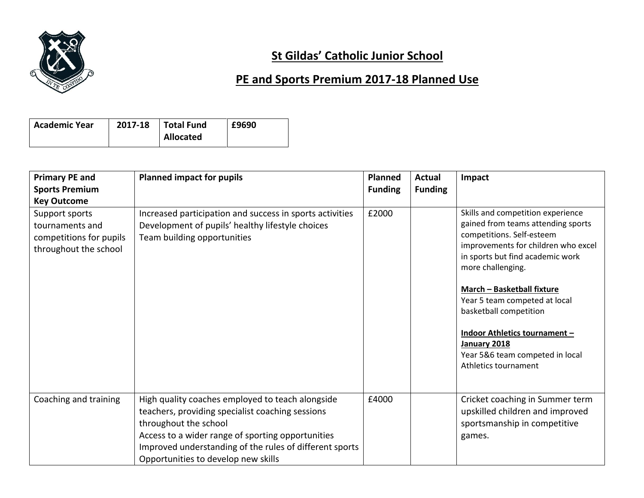

## **St Gildas' Catholic Junior School**

## **PE and Sports Premium 2017-18 Planned Use**

| <b>Academic Year</b> | 2017-18 | Total Fund | £9690 |
|----------------------|---------|------------|-------|
|                      |         | Allocated  |       |

| <b>Primary PE and</b>                                                                 | <b>Planned impact for pupils</b>                                                                                                                                                                                                                                                     | <b>Planned</b> | <b>Actual</b>  | Impact                                                                                                                                                                                                                                                                                                                                                                                                    |
|---------------------------------------------------------------------------------------|--------------------------------------------------------------------------------------------------------------------------------------------------------------------------------------------------------------------------------------------------------------------------------------|----------------|----------------|-----------------------------------------------------------------------------------------------------------------------------------------------------------------------------------------------------------------------------------------------------------------------------------------------------------------------------------------------------------------------------------------------------------|
| <b>Sports Premium</b>                                                                 |                                                                                                                                                                                                                                                                                      | <b>Funding</b> | <b>Funding</b> |                                                                                                                                                                                                                                                                                                                                                                                                           |
| <b>Key Outcome</b>                                                                    |                                                                                                                                                                                                                                                                                      |                |                |                                                                                                                                                                                                                                                                                                                                                                                                           |
| Support sports<br>tournaments and<br>competitions for pupils<br>throughout the school | Increased participation and success in sports activities<br>Development of pupils' healthy lifestyle choices<br>Team building opportunities                                                                                                                                          | £2000          |                | Skills and competition experience<br>gained from teams attending sports<br>competitions. Self-esteem<br>improvements for children who excel<br>in sports but find academic work<br>more challenging.<br>March - Basketball fixture<br>Year 5 team competed at local<br>basketball competition<br>Indoor Athletics tournament -<br>January 2018<br>Year 5&6 team competed in local<br>Athletics tournament |
| Coaching and training                                                                 | High quality coaches employed to teach alongside<br>teachers, providing specialist coaching sessions<br>throughout the school<br>Access to a wider range of sporting opportunities<br>Improved understanding of the rules of different sports<br>Opportunities to develop new skills | £4000          |                | Cricket coaching in Summer term<br>upskilled children and improved<br>sportsmanship in competitive<br>games.                                                                                                                                                                                                                                                                                              |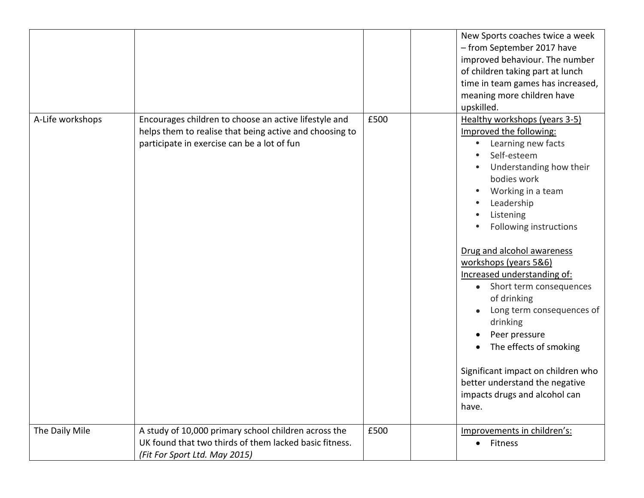|                  |                                                                                                                                                                 |      | New Sports coaches twice a week<br>- from September 2017 have<br>improved behaviour. The number<br>of children taking part at lunch<br>time in team games has increased,<br>meaning more children have<br>upskilled.                                                                                                                                                                                                                                                                                                                                                   |
|------------------|-----------------------------------------------------------------------------------------------------------------------------------------------------------------|------|------------------------------------------------------------------------------------------------------------------------------------------------------------------------------------------------------------------------------------------------------------------------------------------------------------------------------------------------------------------------------------------------------------------------------------------------------------------------------------------------------------------------------------------------------------------------|
| A-Life workshops | Encourages children to choose an active lifestyle and<br>helps them to realise that being active and choosing to<br>participate in exercise can be a lot of fun | £500 | Healthy workshops (years 3-5)<br>Improved the following:<br>Learning new facts<br>$\bullet$<br>Self-esteem<br>Understanding how their<br>bodies work<br>Working in a team<br>Leadership<br>Listening<br>Following instructions<br>Drug and alcohol awareness<br>workshops (years 5&6)<br>Increased understanding of:<br>• Short term consequences<br>of drinking<br>Long term consequences of<br>drinking<br>Peer pressure<br>The effects of smoking<br>Significant impact on children who<br>better understand the negative<br>impacts drugs and alcohol can<br>have. |
| The Daily Mile   | A study of 10,000 primary school children across the<br>UK found that two thirds of them lacked basic fitness.<br>(Fit For Sport Ltd. May 2015)                 | £500 | Improvements in children's:<br>• Fitness                                                                                                                                                                                                                                                                                                                                                                                                                                                                                                                               |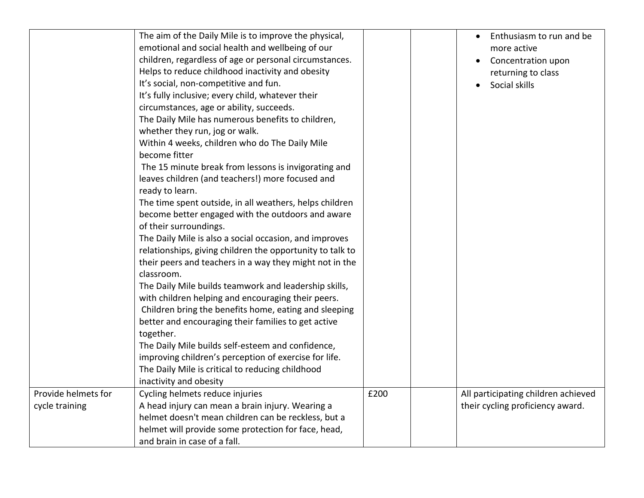|                     | The aim of the Daily Mile is to improve the physical,     |      | Enthusiasm to run and be<br>$\bullet$ |
|---------------------|-----------------------------------------------------------|------|---------------------------------------|
|                     | emotional and social health and wellbeing of our          |      | more active                           |
|                     | children, regardless of age or personal circumstances.    |      | Concentration upon                    |
|                     | Helps to reduce childhood inactivity and obesity          |      | returning to class                    |
|                     | It's social, non-competitive and fun.                     |      | Social skills                         |
|                     | It's fully inclusive; every child, whatever their         |      |                                       |
|                     | circumstances, age or ability, succeeds.                  |      |                                       |
|                     | The Daily Mile has numerous benefits to children,         |      |                                       |
|                     | whether they run, jog or walk.                            |      |                                       |
|                     | Within 4 weeks, children who do The Daily Mile            |      |                                       |
|                     | become fitter                                             |      |                                       |
|                     | The 15 minute break from lessons is invigorating and      |      |                                       |
|                     | leaves children (and teachers!) more focused and          |      |                                       |
|                     | ready to learn.                                           |      |                                       |
|                     | The time spent outside, in all weathers, helps children   |      |                                       |
|                     | become better engaged with the outdoors and aware         |      |                                       |
|                     | of their surroundings.                                    |      |                                       |
|                     | The Daily Mile is also a social occasion, and improves    |      |                                       |
|                     | relationships, giving children the opportunity to talk to |      |                                       |
|                     | their peers and teachers in a way they might not in the   |      |                                       |
|                     | classroom.                                                |      |                                       |
|                     | The Daily Mile builds teamwork and leadership skills,     |      |                                       |
|                     | with children helping and encouraging their peers.        |      |                                       |
|                     | Children bring the benefits home, eating and sleeping     |      |                                       |
|                     | better and encouraging their families to get active       |      |                                       |
|                     | together.                                                 |      |                                       |
|                     | The Daily Mile builds self-esteem and confidence,         |      |                                       |
|                     | improving children's perception of exercise for life.     |      |                                       |
|                     | The Daily Mile is critical to reducing childhood          |      |                                       |
|                     | inactivity and obesity                                    |      |                                       |
| Provide helmets for | Cycling helmets reduce injuries                           | £200 | All participating children achieved   |
| cycle training      | A head injury can mean a brain injury. Wearing a          |      | their cycling proficiency award.      |
|                     | helmet doesn't mean children can be reckless, but a       |      |                                       |
|                     | helmet will provide some protection for face, head,       |      |                                       |
|                     | and brain in case of a fall.                              |      |                                       |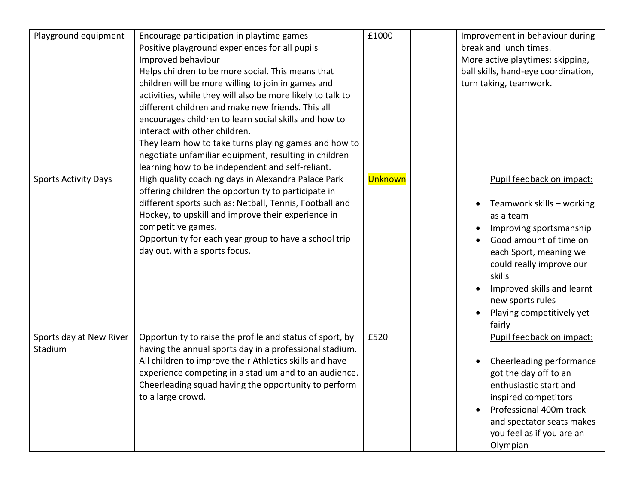| Playground equipment               | Encourage participation in playtime games<br>Positive playground experiences for all pupils<br>Improved behaviour<br>Helps children to be more social. This means that<br>children will be more willing to join in games and<br>activities, while they will also be more likely to talk to<br>different children and make new friends. This all<br>encourages children to learn social skills and how to<br>interact with other children.<br>They learn how to take turns playing games and how to<br>negotiate unfamiliar equipment, resulting in children<br>learning how to be independent and self-reliant. | £1000   | Improvement in behaviour during<br>break and lunch times.<br>More active playtimes: skipping,<br>ball skills, hand-eye coordination,<br>turn taking, teamwork.                                                                                                                                              |  |
|------------------------------------|-----------------------------------------------------------------------------------------------------------------------------------------------------------------------------------------------------------------------------------------------------------------------------------------------------------------------------------------------------------------------------------------------------------------------------------------------------------------------------------------------------------------------------------------------------------------------------------------------------------------|---------|-------------------------------------------------------------------------------------------------------------------------------------------------------------------------------------------------------------------------------------------------------------------------------------------------------------|--|
| <b>Sports Activity Days</b>        | High quality coaching days in Alexandra Palace Park<br>offering children the opportunity to participate in<br>different sports such as: Netball, Tennis, Football and<br>Hockey, to upskill and improve their experience in<br>competitive games.<br>Opportunity for each year group to have a school trip<br>day out, with a sports focus.                                                                                                                                                                                                                                                                     | Unknown | Pupil feedback on impact:<br>Teamwork skills – working<br>$\bullet$<br>as a team<br>Improving sportsmanship<br>$\bullet$<br>Good amount of time on<br>each Sport, meaning we<br>could really improve our<br>skills<br>Improved skills and learnt<br>new sports rules<br>Playing competitively yet<br>fairly |  |
| Sports day at New River<br>Stadium | Opportunity to raise the profile and status of sport, by<br>having the annual sports day in a professional stadium.<br>All children to improve their Athletics skills and have<br>experience competing in a stadium and to an audience.<br>Cheerleading squad having the opportunity to perform<br>to a large crowd.                                                                                                                                                                                                                                                                                            | £520    | Pupil feedback on impact:<br>Cheerleading performance<br>got the day off to an<br>enthusiastic start and<br>inspired competitors<br>Professional 400m track<br>$\bullet$<br>and spectator seats makes<br>you feel as if you are an<br>Olympian                                                              |  |